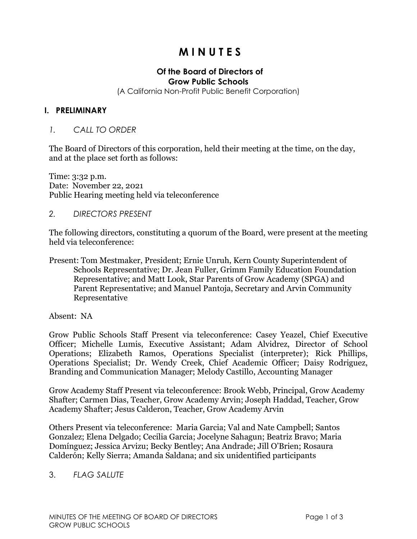## **M I N U T E S**

# **Of the Board of Directors of**

**Grow Public Schools**

(A California Non-Profit Public Benefit Corporation)

#### **I. PRELIMINARY**

#### *1. CALL TO ORDER*

The Board of Directors of this corporation, held their meeting at the time, on the day, and at the place set forth as follows:

Time: 3:32 p.m. Date: November 22, 2021 Public Hearing meeting held via teleconference

#### *2. DIRECTORS PRESENT*

The following directors, constituting a quorum of the Board, were present at the meeting held via teleconference:

Present: Tom Mestmaker, President; Ernie Unruh, Kern County Superintendent of Schools Representative; Dr. Jean Fuller, Grimm Family Education Foundation Representative; and Matt Look, Star Parents of Grow Academy (SPGA) and Parent Representative; and Manuel Pantoja, Secretary and Arvin Community Representative

Absent: NA

Grow Public Schools Staff Present via teleconference: Casey Yeazel, Chief Executive Officer; Michelle Lumis, Executive Assistant; Adam Alvidrez, Director of School Operations; Elizabeth Ramos, Operations Specialist (interpreter); Rick Phillips, Operations Specialist; Dr. Wendy Creek, Chief Academic Officer; Daisy Rodriguez, Branding and Communication Manager; Melody Castillo, Accounting Manager

Grow Academy Staff Present via teleconference: Brook Webb, Principal, Grow Academy Shafter; Carmen Dias, Teacher, Grow Academy Arvin; Joseph Haddad, Teacher, Grow Academy Shafter; Jesus Calderon, Teacher, Grow Academy Arvin

Others Present via teleconference: Maria Garcia; Val and Nate Campbell; Santos Gonzalez; Elena Delgado; Cecilia Garcia; Jocelyne Sahagun; Beatriz Bravo; Maria Domínguez; Jessica Arvizu; Becky Bentley; Ana Andrade; Jill O'Brien; Rosaura Calderón; Kelly Sierra; Amanda Saldana; and six unidentified participants

### 3. *FLAG SALUTE*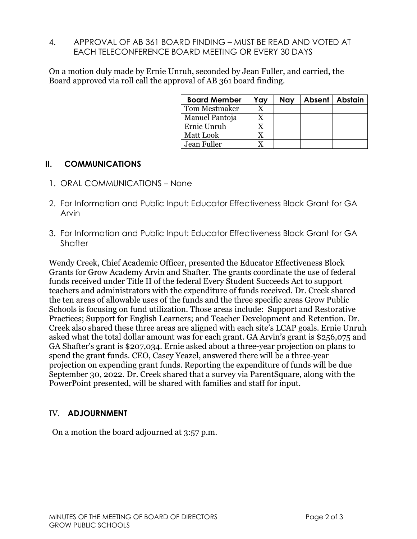4. APPROVAL OF AB 361 BOARD FINDING – MUST BE READ AND VOTED AT EACH TELECONFERENCE BOARD MEETING OR EVERY 30 DAYS

On a motion duly made by Ernie Unruh, seconded by Jean Fuller, and carried, the Board approved via roll call the approval of AB 361 board finding.

| <b>Board Member</b> | Yay | <b>Nay</b> | Absent   Abstain |
|---------------------|-----|------------|------------------|
| Tom Mestmaker       |     |            |                  |
| Manuel Pantoja      |     |            |                  |
| Ernie Unruh         |     |            |                  |
| <b>Matt Look</b>    |     |            |                  |
| Jean Fuller         |     |            |                  |

## **II. COMMUNICATIONS**

- 1. ORAL COMMUNICATIONS None
- 2. For Information and Public Input: Educator Effectiveness Block Grant for GA Arvin
- 3. For Information and Public Input: Educator Effectiveness Block Grant for GA **Shafter**

Wendy Creek, Chief Academic Officer, presented the Educator Effectiveness Block Grants for Grow Academy Arvin and Shafter. The grants coordinate the use of federal funds received under Title II of the federal Every Student Succeeds Act to support teachers and administrators with the expenditure of funds received. Dr. Creek shared the ten areas of allowable uses of the funds and the three specific areas Grow Public Schools is focusing on fund utilization. Those areas include: Support and Restorative Practices; Support for English Learners; and Teacher Development and Retention. Dr. Creek also shared these three areas are aligned with each site's LCAP goals. Ernie Unruh asked what the total dollar amount was for each grant. GA Arvin's grant is \$256,075 and GA Shafter's grant is \$207,034. Ernie asked about a three-year projection on plans to spend the grant funds. CEO, Casey Yeazel, answered there will be a three-year projection on expending grant funds. Reporting the expenditure of funds will be due September 30, 2022. Dr. Creek shared that a survey via ParentSquare, along with the PowerPoint presented, will be shared with families and staff for input.

## IV. **ADJOURNMENT**

On a motion the board adjourned at 3:57 p.m.